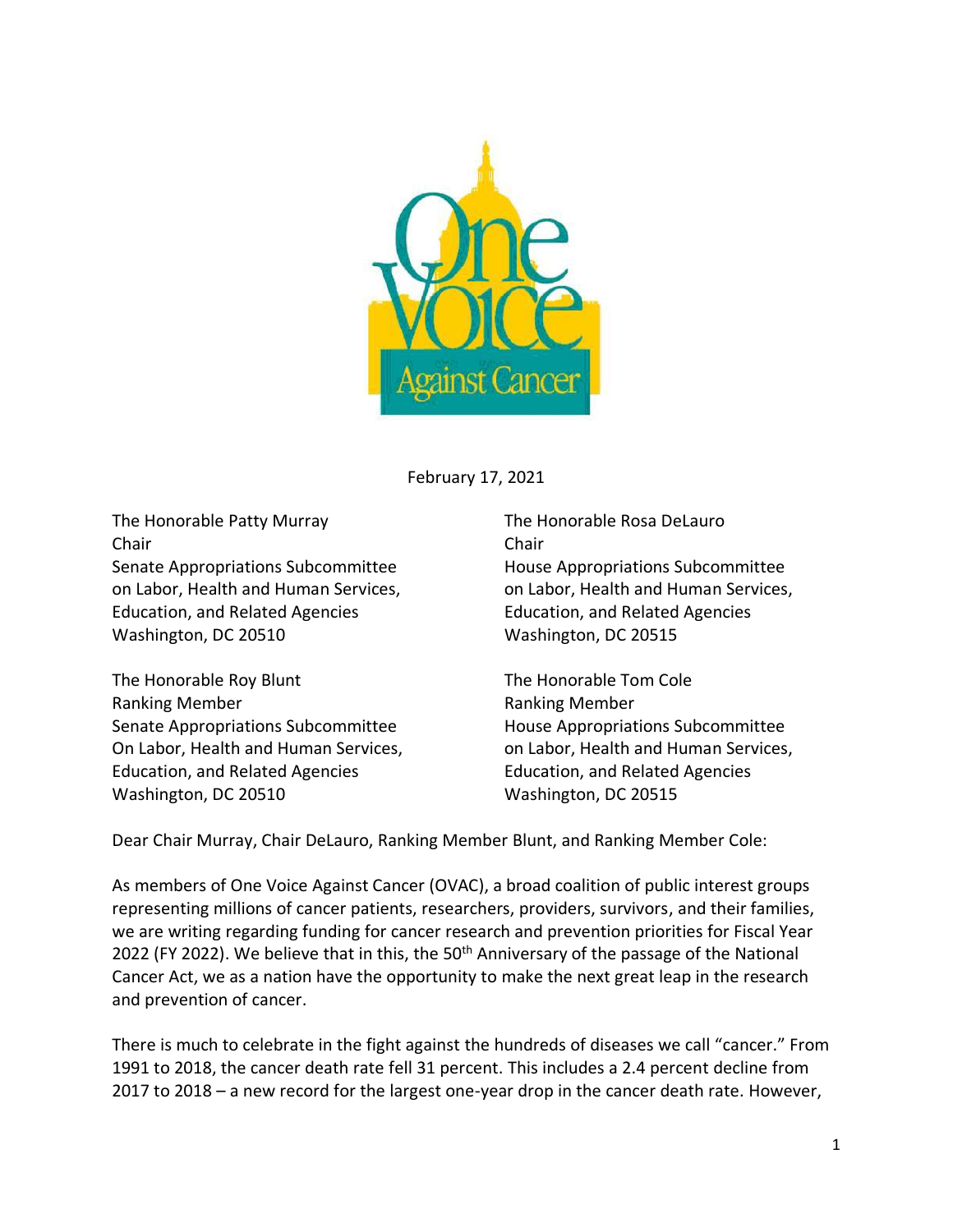

February 17, 2021

The Honorable Patty Murray The Honorable Rosa DeLauro Chair Chair Senate Appropriations Subcommittee House Appropriations Subcommittee Education, and Related Agencies Education, and Related Agencies Washington, DC 20510 Washington, DC 20515

The Honorable Roy Blunt The Honorable Tom Cole Ranking Member **Ranking Member** Ranking Member Senate Appropriations Subcommittee House Appropriations Subcommittee On Labor, Health and Human Services, on Labor, Health and Human Services, Education, and Related Agencies Education, and Related Agencies Washington, DC 20510 Washington, DC 20515

on Labor, Health and Human Services, **on Labor, Health and Human Services**,

Dear Chair Murray, Chair DeLauro, Ranking Member Blunt, and Ranking Member Cole:

As members of One Voice Against Cancer (OVAC), a broad coalition of public interest groups representing millions of cancer patients, researchers, providers, survivors, and their families, we are writing regarding funding for cancer research and prevention priorities for Fiscal Year 2022 (FY 2022). We believe that in this, the  $50<sup>th</sup>$  Anniversary of the passage of the National Cancer Act, we as a nation have the opportunity to make the next great leap in the research and prevention of cancer.

There is much to celebrate in the fight against the hundreds of diseases we call "cancer." From 1991 to 2018, the cancer death rate fell 31 percent. This includes a 2.4 percent decline from 2017 to 2018 – a new record for the largest one-year drop in the cancer death rate. However,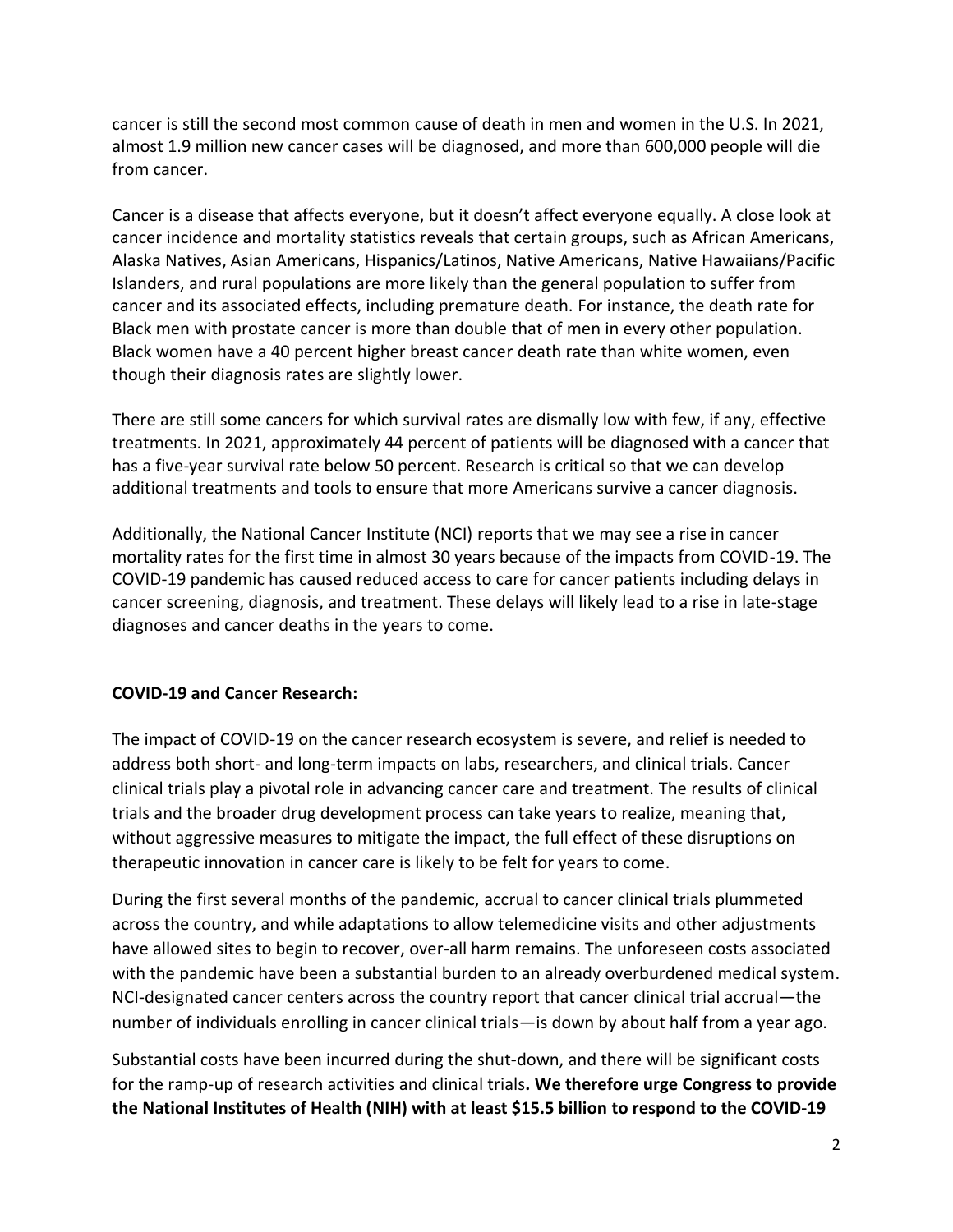cancer is still the second most common cause of death in men and women in the U.S. In 2021, almost 1.9 million new cancer cases will be diagnosed, and more than 600,000 people will die from cancer.

Cancer is a disease that affects everyone, but it doesn't affect everyone equally. A close look at cancer incidence and mortality statistics reveals that certain groups, such as African Americans, Alaska Natives, Asian Americans, Hispanics/Latinos, Native Americans, Native Hawaiians/Pacific Islanders, and rural populations are more likely than the general population to suffer from cancer and its associated effects, including premature death. For instance, the death rate for Black men with prostate cancer is more than double that of men in every other population. Black women have a 40 percent higher breast cancer death rate than white women, even though their diagnosis rates are slightly lower.

There are still some cancers for which survival rates are dismally low with few, if any, effective treatments. In 2021, approximately 44 percent of patients will be diagnosed with a cancer that has a five-year survival rate below 50 percent. Research is critical so that we can develop additional treatments and tools to ensure that more Americans survive a cancer diagnosis.

Additionally, the National Cancer Institute (NCI) reports that we may see a rise in cancer mortality rates for the first time in almost 30 years because of the impacts from COVID-19. The COVID-19 pandemic has caused reduced access to care for cancer patients including delays in cancer screening, diagnosis, and treatment. These delays will likely lead to a rise in late-stage diagnoses and cancer deaths in the years to come.

## **COVID-19 and Cancer Research:**

The impact of COVID-19 on the cancer research ecosystem is severe, and relief is needed to address both short- and long-term impacts on labs, researchers, and clinical trials. Cancer clinical trials play a pivotal role in advancing cancer care and treatment. The results of clinical trials and the broader drug development process can take years to realize, meaning that, without aggressive measures to mitigate the impact, the full effect of these disruptions on therapeutic innovation in cancer care is likely to be felt for years to come.

During the first several months of the pandemic, accrual to cancer clinical trials plummeted across the country, and while adaptations to allow telemedicine visits and other adjustments have allowed sites to begin to recover, over-all harm remains. The unforeseen costs associated with the pandemic have been a substantial burden to an already overburdened medical system. NCI-designated cancer centers across the country report that cancer clinical trial accrual—the number of individuals enrolling in cancer clinical trials—is down by about half from a year ago.

Substantial costs have been incurred during the shut-down, and there will be significant costs for the ramp-up of research activities and clinical trials**. We therefore urge Congress to provide the National Institutes of Health (NIH) with at least \$15.5 billion to respond to the COVID-19**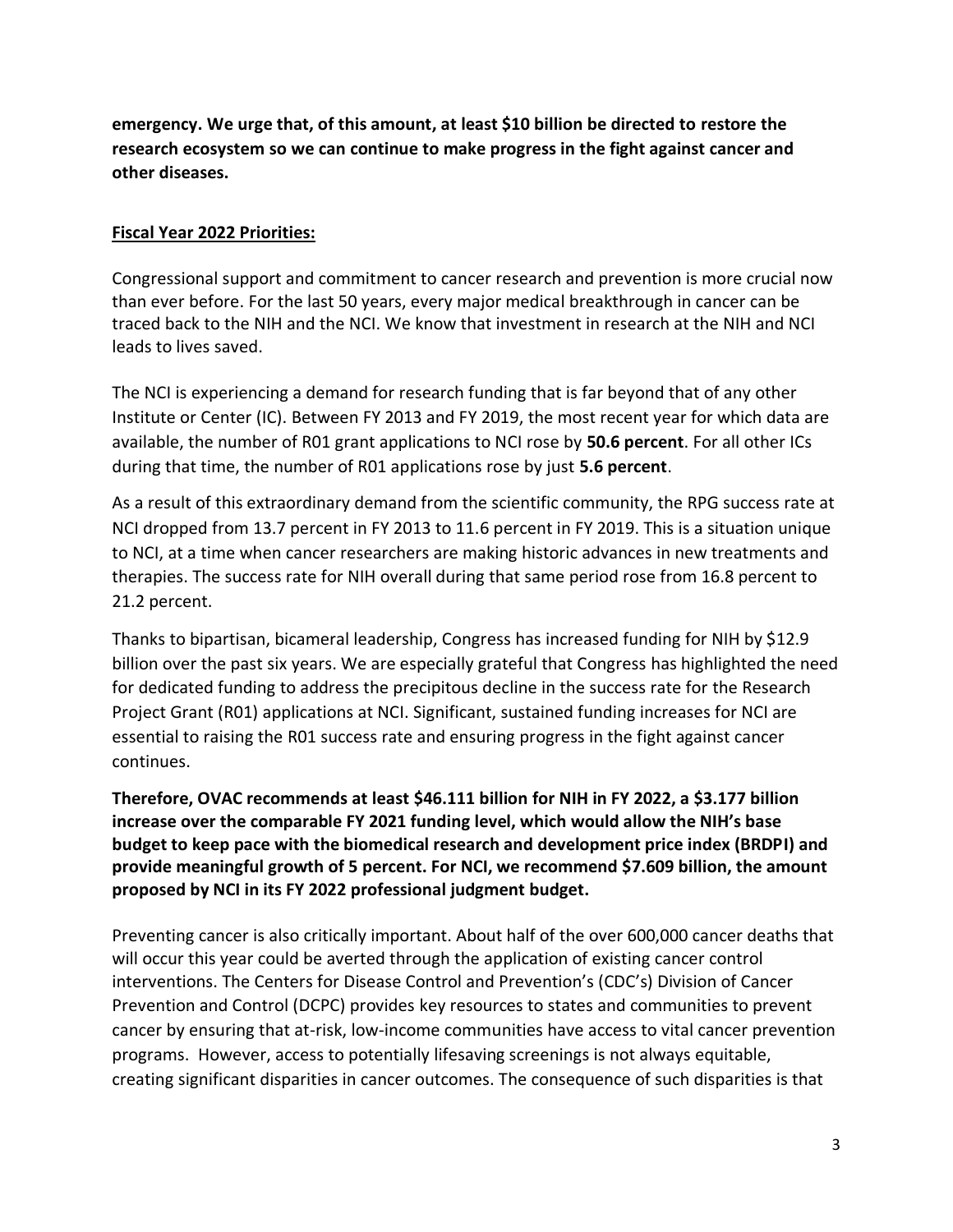**emergency. We urge that, of this amount, at least \$10 billion be directed to restore the research ecosystem so we can continue to make progress in the fight against cancer and other diseases.**

## **Fiscal Year 2022 Priorities:**

Congressional support and commitment to cancer research and prevention is more crucial now than ever before. For the last 50 years, every major medical breakthrough in cancer can be traced back to the NIH and the NCI. We know that investment in research at the NIH and NCI leads to lives saved.

The NCI is experiencing a demand for research funding that is far beyond that of any other Institute or Center (IC). Between FY 2013 and FY 2019, the most recent year for which data are available, the number of R01 grant applications to NCI rose by **50.6 percent**. For all other ICs during that time, the number of R01 applications rose by just **5.6 percent**.

As a result of this extraordinary demand from the scientific community, the RPG success rate at NCI dropped from 13.7 percent in FY 2013 to 11.6 percent in FY 2019. This is a situation unique to NCI, at a time when cancer researchers are making historic advances in new treatments and therapies. The success rate for NIH overall during that same period rose from 16.8 percent to 21.2 percent.

Thanks to bipartisan, bicameral leadership, Congress has increased funding for NIH by \$12.9 billion over the past six years. We are especially grateful that Congress has highlighted the need for dedicated funding to address the precipitous decline in the success rate for the Research Project Grant (R01) applications at NCI. Significant, sustained funding increases for NCI are essential to raising the R01 success rate and ensuring progress in the fight against cancer continues.

**Therefore, OVAC recommends at least \$46.111 billion for NIH in FY 2022, a \$3.177 billion increase over the comparable FY 2021 funding level, which would allow the NIH's base budget to keep pace with the biomedical research and development price index (BRDPI) and provide meaningful growth of 5 percent. For NCI, we recommend \$7.609 billion, the amount proposed by NCI in its FY 2022 professional judgment budget.**

Preventing cancer is also critically important. About half of the over 600,000 cancer deaths that will occur this year could be averted through the application of existing cancer control interventions. The Centers for Disease Control and Prevention's (CDC's) Division of Cancer Prevention and Control (DCPC) provides key resources to states and communities to prevent cancer by ensuring that at-risk, low-income communities have access to vital cancer prevention programs. However, access to potentially lifesaving screenings is not always equitable, creating significant disparities in cancer outcomes. The consequence of such disparities is that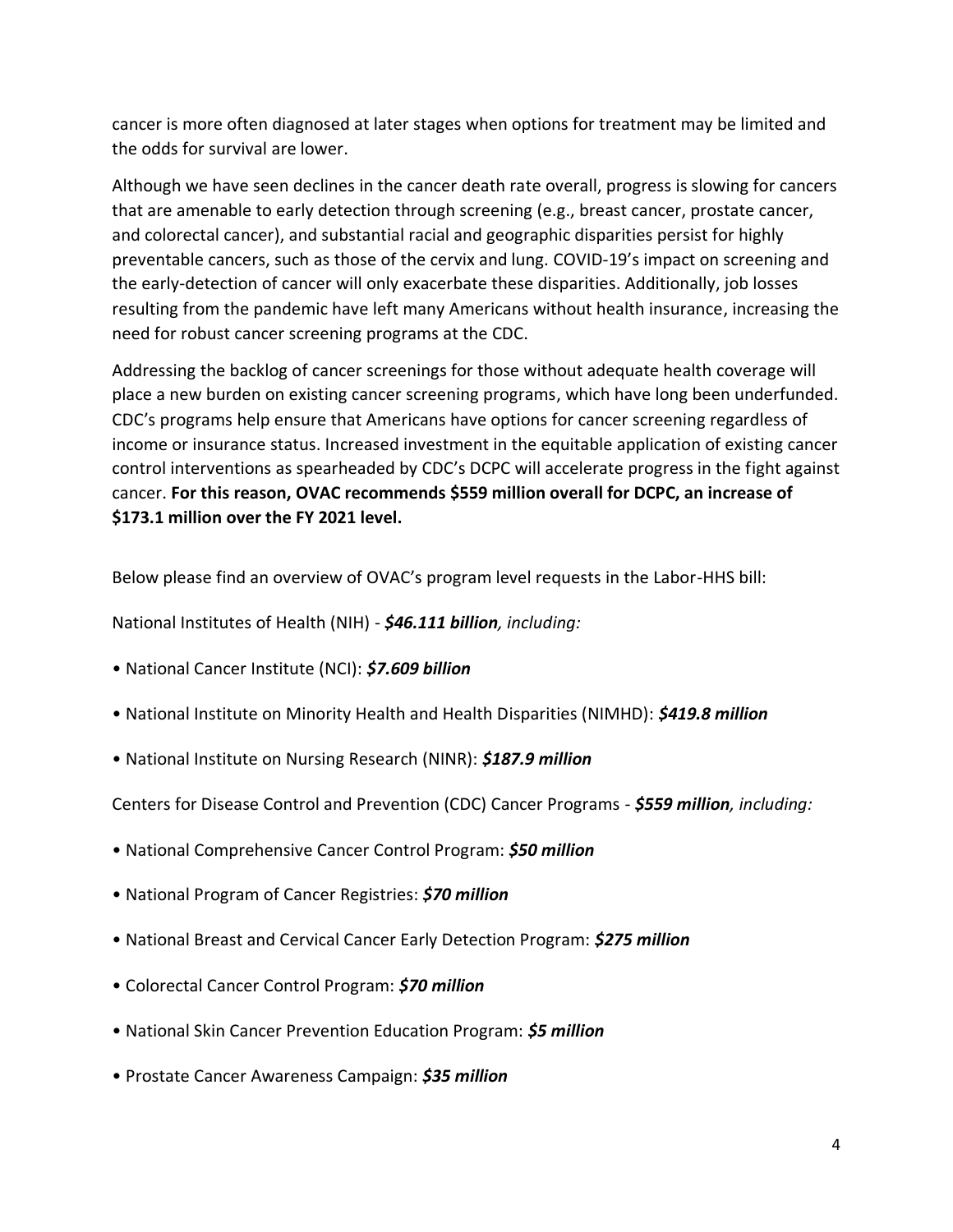cancer is more often diagnosed at later stages when options for treatment may be limited and the odds for survival are lower.

Although we have seen declines in the cancer death rate overall, progress is slowing for cancers that are amenable to early detection through screening (e.g., breast cancer, prostate cancer, and colorectal cancer), and substantial racial and geographic disparities persist for highly preventable cancers, such as those of the cervix and lung. COVID-19's impact on screening and the early-detection of cancer will only exacerbate these disparities. Additionally, job losses resulting from the pandemic have left many Americans without health insurance, increasing the need for robust cancer screening programs at the CDC.

Addressing the backlog of cancer screenings for those without adequate health coverage will place a new burden on existing cancer screening programs, which have long been underfunded. CDC's programs help ensure that Americans have options for cancer screening regardless of income or insurance status. Increased investment in the equitable application of existing cancer control interventions as spearheaded by CDC's DCPC will accelerate progress in the fight against cancer. **For this reason, OVAC recommends \$559 million overall for DCPC, an increase of \$173.1 million over the FY 2021 level.** 

Below please find an overview of OVAC's program level requests in the Labor-HHS bill:

National Institutes of Health (NIH) - *\$46.111 billion, including:* 

- National Cancer Institute (NCI): *\$7.609 billion*
- National Institute on Minority Health and Health Disparities (NIMHD): *\$419.8 million*
- National Institute on Nursing Research (NINR): *\$187.9 million*

Centers for Disease Control and Prevention (CDC) Cancer Programs - *\$559 million, including:* 

- National Comprehensive Cancer Control Program: *\$50 million*
- National Program of Cancer Registries: *\$70 million*
- National Breast and Cervical Cancer Early Detection Program: *\$275 million*
- Colorectal Cancer Control Program: *\$70 million*
- National Skin Cancer Prevention Education Program: *\$5 million*
- Prostate Cancer Awareness Campaign: *\$35 million*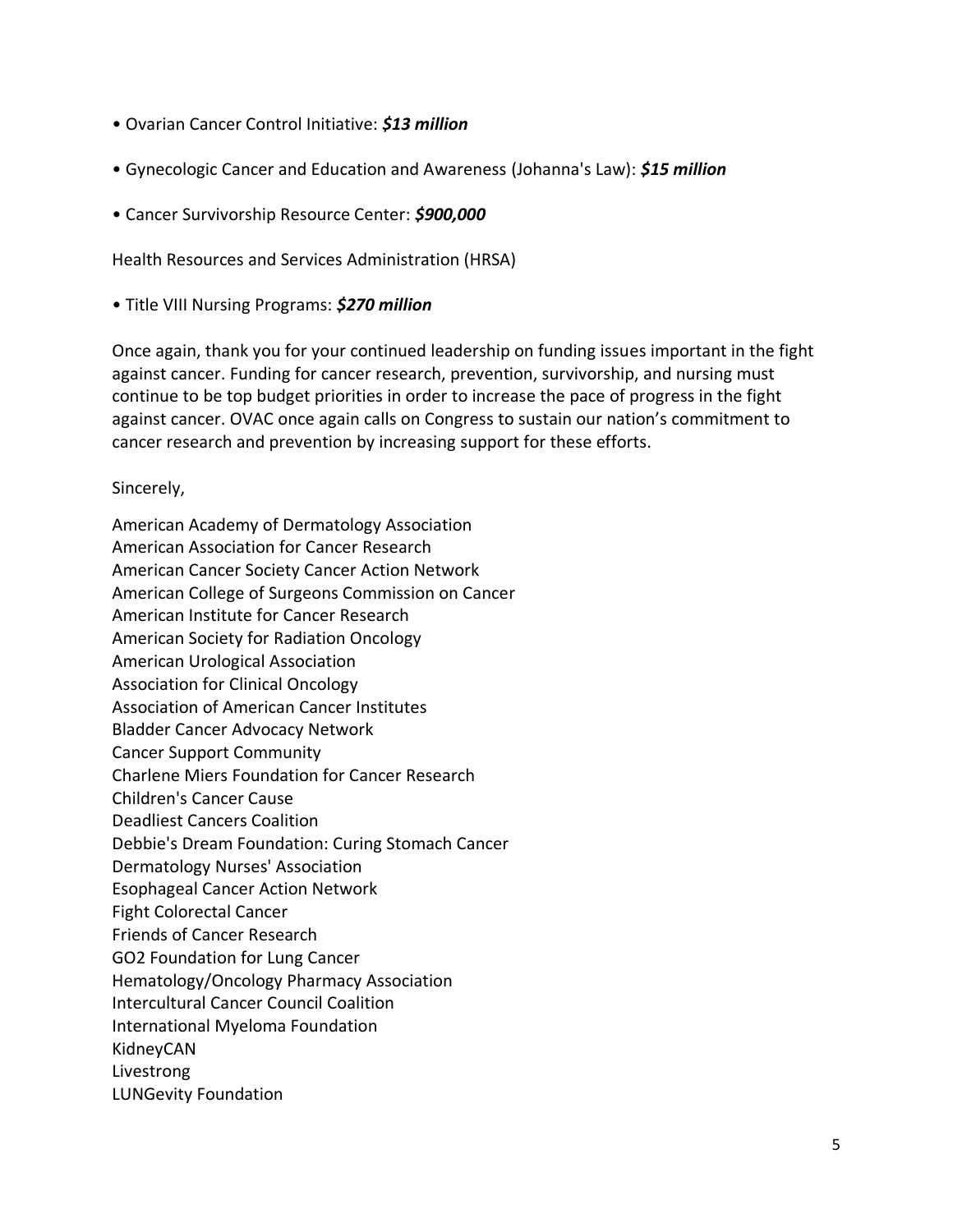- Ovarian Cancer Control Initiative: *\$13 million*
- Gynecologic Cancer and Education and Awareness (Johanna's Law): *\$15 million*
- Cancer Survivorship Resource Center: *\$900,000*

Health Resources and Services Administration (HRSA)

• Title VIII Nursing Programs: *\$270 million* 

Once again, thank you for your continued leadership on funding issues important in the fight against cancer. Funding for cancer research, prevention, survivorship, and nursing must continue to be top budget priorities in order to increase the pace of progress in the fight against cancer. OVAC once again calls on Congress to sustain our nation's commitment to cancer research and prevention by increasing support for these efforts.

Sincerely,

American Academy of Dermatology Association American Association for Cancer Research American Cancer Society Cancer Action Network American College of Surgeons Commission on Cancer American Institute for Cancer Research American Society for Radiation Oncology American Urological Association Association for Clinical Oncology Association of American Cancer Institutes Bladder Cancer Advocacy Network Cancer Support Community Charlene Miers Foundation for Cancer Research Children's Cancer Cause Deadliest Cancers Coalition Debbie's Dream Foundation: Curing Stomach Cancer Dermatology Nurses' Association Esophageal Cancer Action Network Fight Colorectal Cancer Friends of Cancer Research GO2 Foundation for Lung Cancer Hematology/Oncology Pharmacy Association Intercultural Cancer Council Coalition International Myeloma Foundation KidneyCAN Livestrong LUNGevity Foundation